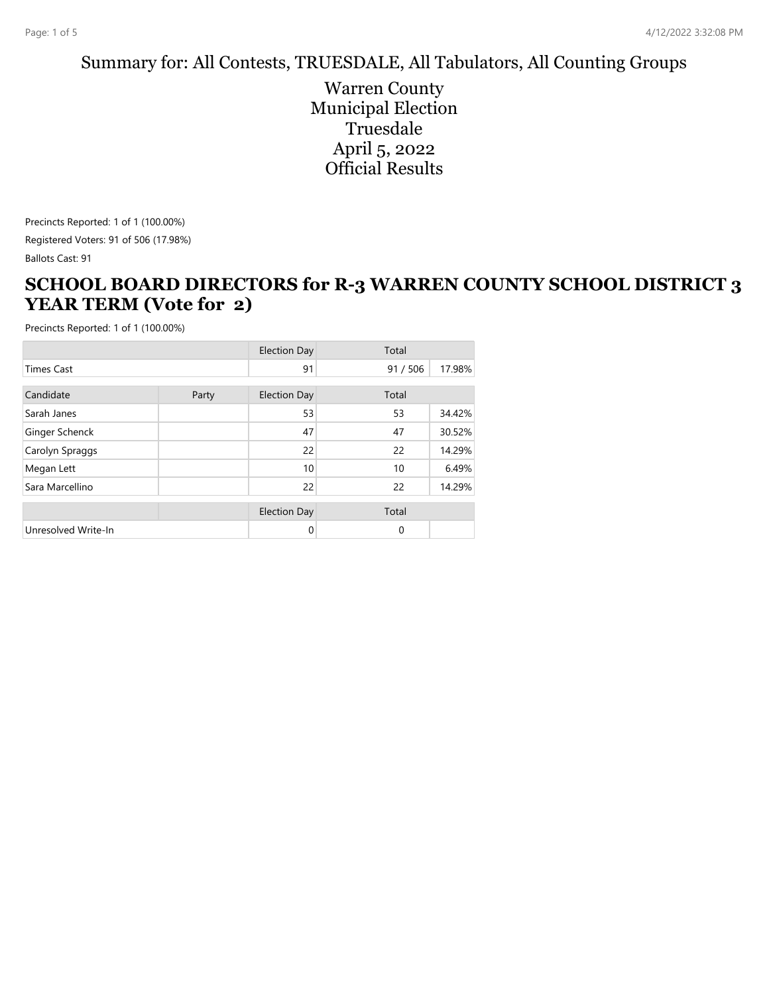#### Summary for: All Contests, TRUESDALE, All Tabulators, All Counting Groups

Warren County Municipal Election Truesdale April 5, 2022 Official Results

Precincts Reported: 1 of 1 (100.00%) Registered Voters: 91 of 506 (17.98%)

Ballots Cast: 91

#### **SCHOOL BOARD DIRECTORS for R-3 WARREN COUNTY SCHOOL DISTRICT 3 YEAR TERM (Vote for 2)**

|                     |       | <b>Election Day</b> | Total       |        |  |
|---------------------|-------|---------------------|-------------|--------|--|
| <b>Times Cast</b>   |       | 91                  | 91/506      | 17.98% |  |
| Candidate           | Party | <b>Election Day</b> | Total       |        |  |
| Sarah Janes         |       | 53                  | 53          | 34.42% |  |
| Ginger Schenck      |       | 47                  | 47          | 30.52% |  |
| Carolyn Spraggs     |       | 22                  | 22          | 14.29% |  |
| Megan Lett          |       | 10                  | 10          | 6.49%  |  |
| Sara Marcellino     |       | 22                  | 22          | 14.29% |  |
|                     |       | <b>Election Day</b> | Total       |        |  |
| Unresolved Write-In |       | 0                   | $\mathbf 0$ |        |  |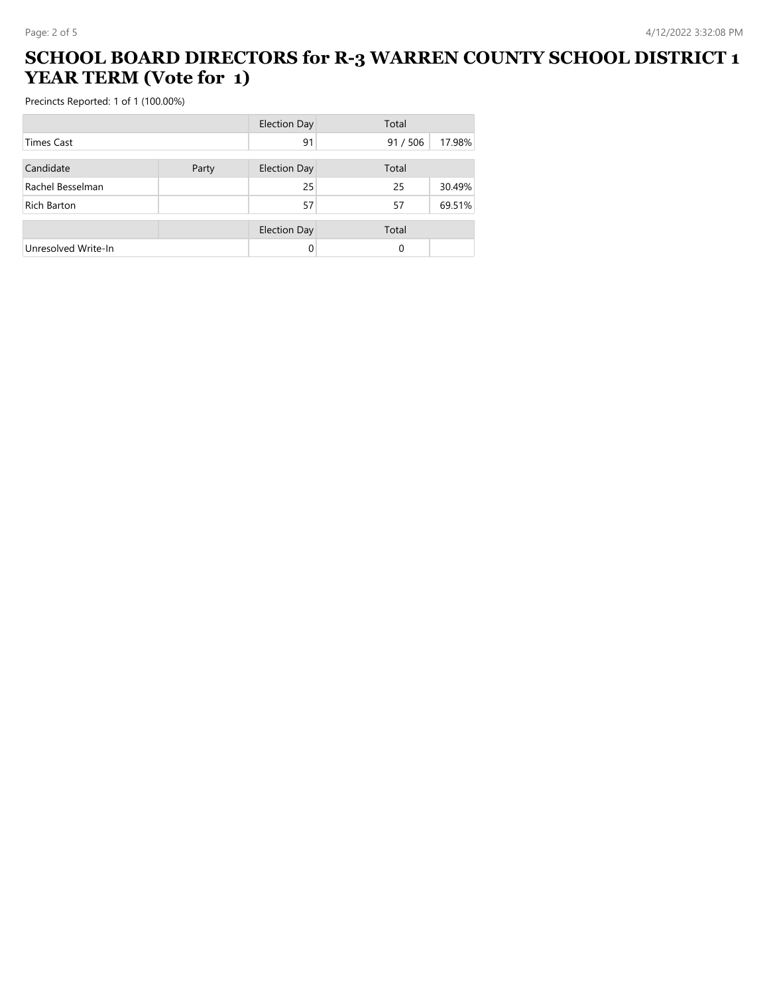#### **SCHOOL BOARD DIRECTORS for R-3 WARREN COUNTY SCHOOL DISTRICT 1 YEAR TERM (Vote for 1)**

|                     |       | <b>Election Day</b> | Total    |        |
|---------------------|-------|---------------------|----------|--------|
| Times Cast          |       | 91                  | 91/506   | 17.98% |
| Candidate           | Party | <b>Election Day</b> | Total    |        |
| Rachel Besselman    |       | 25                  | 25       | 30.49% |
| Rich Barton         |       | 57                  | 57       | 69.51% |
|                     |       | <b>Election Day</b> | Total    |        |
| Unresolved Write-In |       |                     | $\Omega$ |        |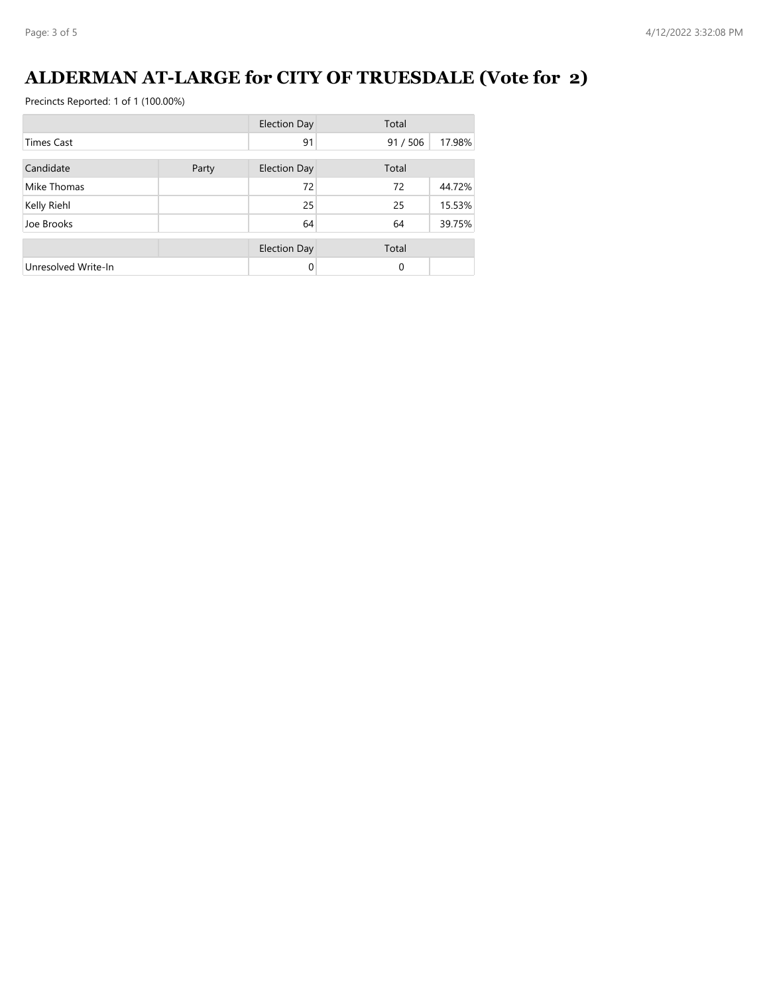# **ALDERMAN AT-LARGE for CITY OF TRUESDALE (Vote for 2)**

|                     |       | <b>Election Day</b> | Total            |
|---------------------|-------|---------------------|------------------|
| <b>Times Cast</b>   |       | 91                  | 91/506<br>17.98% |
| Candidate           | Party | <b>Election Day</b> | Total            |
| Mike Thomas         |       | 72                  | 72<br>44.72%     |
| Kelly Riehl         |       | 25                  | 25<br>15.53%     |
| Joe Brooks          |       | 64                  | 39.75%<br>64     |
|                     |       | <b>Election Day</b> | Total            |
| Unresolved Write-In |       | $\Omega$            | $\Omega$         |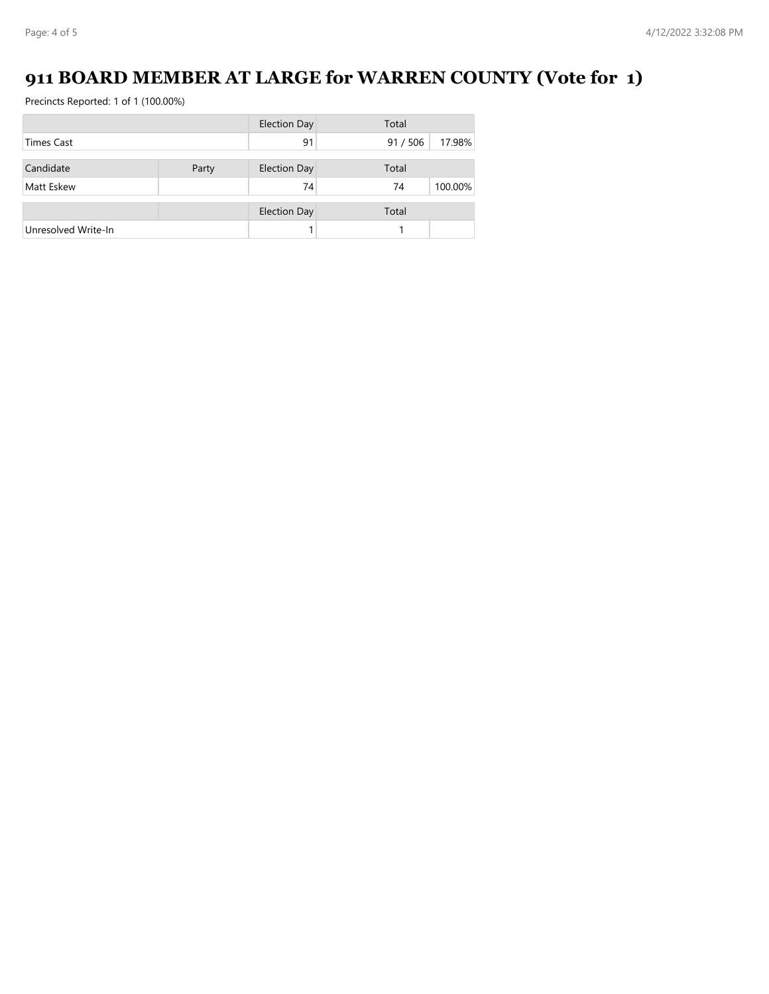# **911 BOARD MEMBER AT LARGE for WARREN COUNTY (Vote for 1)**

|                     | <b>Election Day</b> |                     | Total  |         |  |
|---------------------|---------------------|---------------------|--------|---------|--|
| <b>Times Cast</b>   |                     | 91                  | 91/506 | 17.98%  |  |
|                     |                     |                     |        |         |  |
| Candidate           | Party               | <b>Election Day</b> | Total  |         |  |
| Matt Eskew          |                     | 74                  | 74     | 100.00% |  |
|                     |                     | <b>Election Day</b> | Total  |         |  |
| Unresolved Write-In |                     |                     |        |         |  |